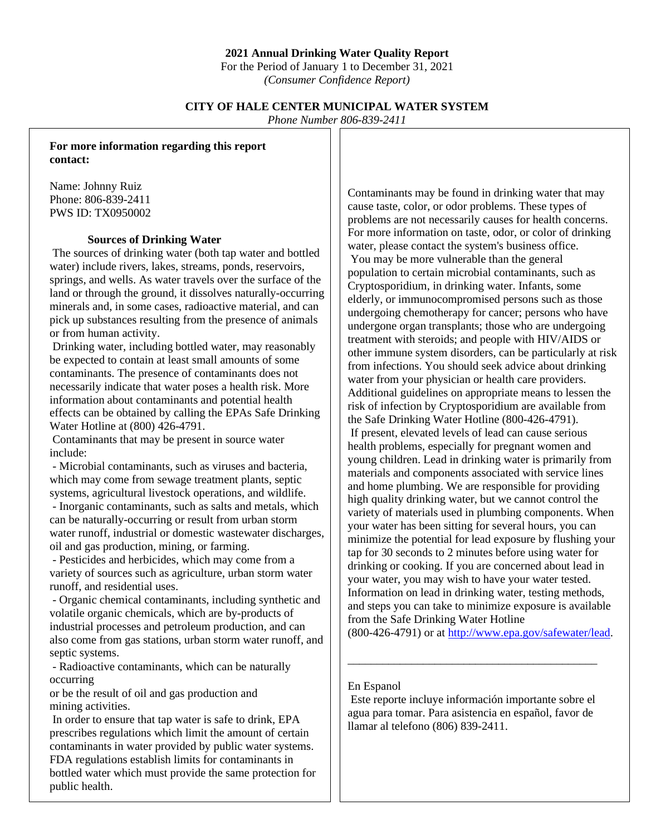### **2021 Annual Drinking Water Quality Report**

For the Period of January 1 to December 31, 2021 *(Consumer Confidence Report)*

## **CITY OF HALE CENTER MUNICIPAL WATER SYSTEM**

*Phone Number 806-839-2411*

**For more information regarding this report contact:**

Name: Johnny Ruiz Phone: 806-839-2411 PWS ID: TX0950002

### **Sources of Drinking Water**

The sources of drinking water (both tap water and bottled water) include rivers, lakes, streams, ponds, reservoirs, springs, and wells. As water travels over the surface of the land or through the ground, it dissolves naturally-occurring minerals and, in some cases, radioactive material, and can pick up substances resulting from the presence of animals or from human activity.

Drinking water, including bottled water, may reasonably be expected to contain at least small amounts of some contaminants. The presence of contaminants does not necessarily indicate that water poses a health risk. More information about contaminants and potential health effects can be obtained by calling the EPAs Safe Drinking Water Hotline at (800) 426-4791.

Contaminants that may be present in source water include:

- Microbial contaminants, such as viruses and bacteria, which may come from sewage treatment plants, septic systems, agricultural livestock operations, and wildlife.

- Inorganic contaminants, such as salts and metals, which can be naturally-occurring or result from urban storm water runoff, industrial or domestic wastewater discharges, oil and gas production, mining, or farming.

- Pesticides and herbicides, which may come from a variety of sources such as agriculture, urban storm water runoff, and residential uses.

- Organic chemical contaminants, including synthetic and volatile organic chemicals, which are by-products of industrial processes and petroleum production, and can also come from gas stations, urban storm water runoff, and septic systems.

- Radioactive contaminants, which can be naturally occurring

or be the result of oil and gas production and mining activities.

In order to ensure that tap water is safe to drink, EPA prescribes regulations which limit the amount of certain contaminants in water provided by public water systems. FDA regulations establish limits for contaminants in bottled water which must provide the same protection for public health.

Contaminants may be found in drinking water that may cause taste, color, or odor problems. These types of problems are not necessarily causes for health concerns. For more information on taste, odor, or color of drinking water, please contact the system's business office.

You may be more vulnerable than the general population to certain microbial contaminants, such as Cryptosporidium, in drinking water. Infants, some elderly, or immunocompromised persons such as those undergoing chemotherapy for cancer; persons who have undergone organ transplants; those who are undergoing treatment with steroids; and people with HIV/AIDS or other immune system disorders, can be particularly at risk from infections. You should seek advice about drinking water from your physician or health care providers. Additional guidelines on appropriate means to lessen the risk of infection by Cryptosporidium are available from the Safe Drinking Water Hotline (800-426-4791). If present, elevated levels of lead can cause serious health problems, especially for pregnant women and young children. Lead in drinking water is primarily from materials and components associated with service lines and home plumbing. We are responsible for providing high quality drinking water, but we cannot control the variety of materials used in plumbing components. When your water has been sitting for several hours, you can minimize the potential for lead exposure by flushing your tap for 30 seconds to 2 minutes before using water for drinking or cooking. If you are concerned about lead in your water, you may wish to have your water tested. Information on lead in drinking water, testing methods, and steps you can take to minimize exposure is available from the Safe Drinking Water Hotline

(800-426-4791) or at [http://www.epa.gov/safewater/lead.](http://www.epa.gov/safewater/lead)

### En Espanol

Este reporte incluye información importante sobre el agua para tomar. Para asistencia en español, favor de llamar al telefono (806) 839-2411.

\_\_\_\_\_\_\_\_\_\_\_\_\_\_\_\_\_\_\_\_\_\_\_\_\_\_\_\_\_\_\_\_\_\_\_\_\_\_\_\_\_\_\_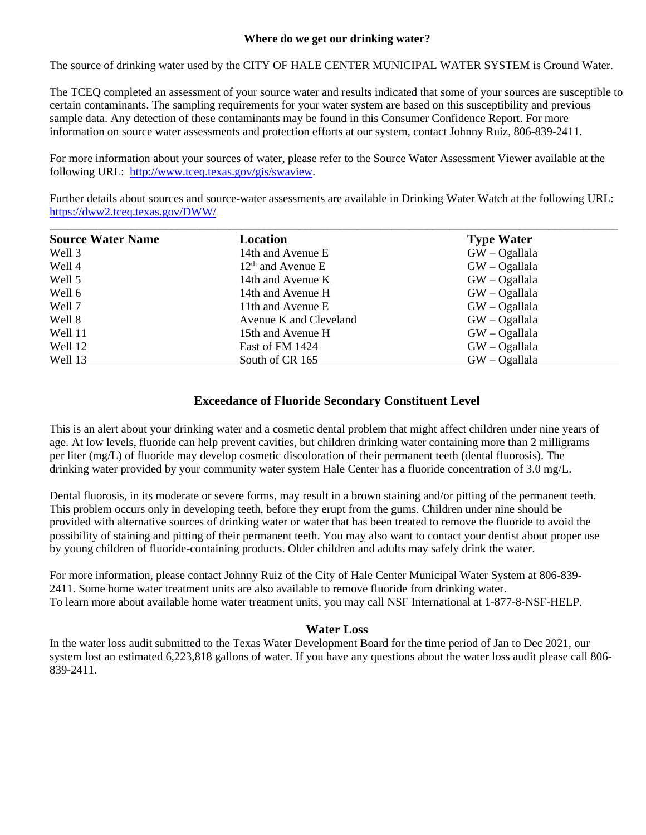### **Where do we get our drinking water?**

The source of drinking water used by the CITY OF HALE CENTER MUNICIPAL WATER SYSTEM is Ground Water.

The TCEQ completed an assessment of your source water and results indicated that some of your sources are susceptible to certain contaminants. The sampling requirements for your water system are based on this susceptibility and previous sample data. Any detection of these contaminants may be found in this Consumer Confidence Report. For more information on source water assessments and protection efforts at our system, contact Johnny Ruiz, 806-839-2411.

For more information about your sources of water, please refer to the Source Water Assessment Viewer available at the following URL: [http://www.tceq.texas.gov/gis/swaview.](http://www.tceq.texas.gov/gis/swaview)

Further details about sources and source-water assessments are available in Drinking Water Watch at the following URL: <https://dww2.tceq.texas.gov/DWW/>

| <b>Source Water Name</b> | Location               | <b>Type Water</b> |
|--------------------------|------------------------|-------------------|
| Well 3                   | 14th and Avenue E      | $GW - Ogallala$   |
| Well 4                   | $12th$ and Avenue E    | $GW - Ogallala$   |
| Well 5                   | 14th and Avenue K      | $GW - Ogallala$   |
| Well 6                   | 14th and Avenue H      | $GW - Ogallala$   |
| Well 7                   | 11th and Avenue E      | $GW - Ogallala$   |
| Well 8                   | Avenue K and Cleveland | $GW - Ogallala$   |
| Well 11                  | 15th and Avenue H      | $GW - Ogallala$   |
| Well 12                  | East of FM 1424        | $GW - Ogallala$   |
| Well 13                  | South of CR 165        | $GW - Ogallala$   |

## **Exceedance of Fluoride Secondary Constituent Level**

This is an alert about your drinking water and a cosmetic dental problem that might affect children under nine years of age. At low levels, fluoride can help prevent cavities, but children drinking water containing more than 2 milligrams per liter (mg/L) of fluoride may develop cosmetic discoloration of their permanent teeth (dental fluorosis). The drinking water provided by your community water system Hale Center has a fluoride concentration of 3.0 mg/L.

Dental fluorosis, in its moderate or severe forms, may result in a brown staining and/or pitting of the permanent teeth. This problem occurs only in developing teeth, before they erupt from the gums. Children under nine should be provided with alternative sources of drinking water or water that has been treated to remove the fluoride to avoid the possibility of staining and pitting of their permanent teeth. You may also want to contact your dentist about proper use by young children of fluoride-containing products. Older children and adults may safely drink the water.

For more information, please contact Johnny Ruiz of the City of Hale Center Municipal Water System at 806-839- 2411. Some home water treatment units are also available to remove fluoride from drinking water. To learn more about available home water treatment units, you may call NSF International at 1-877-8-NSF-HELP.

### **Water Loss**

In the water loss audit submitted to the Texas Water Development Board for the time period of Jan to Dec 2021, our system lost an estimated 6,223,818 gallons of water. If you have any questions about the water loss audit please call 806- 839-2411.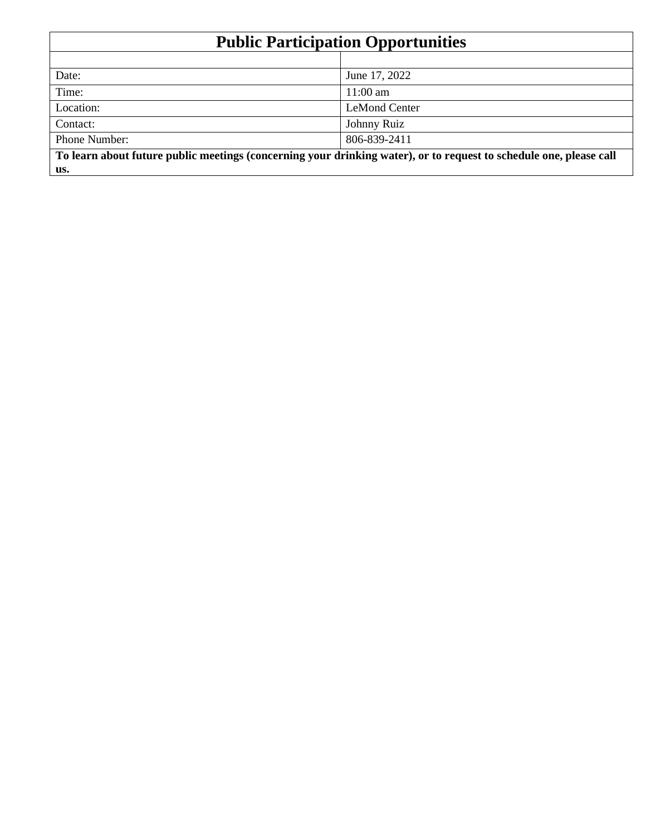| <b>Public Participation Opportunities</b>                                                                          |                      |  |  |  |  |  |
|--------------------------------------------------------------------------------------------------------------------|----------------------|--|--|--|--|--|
|                                                                                                                    |                      |  |  |  |  |  |
| Date:                                                                                                              | June 17, 2022        |  |  |  |  |  |
| Time:                                                                                                              | $11:00$ am           |  |  |  |  |  |
| Location:                                                                                                          | <b>LeMond Center</b> |  |  |  |  |  |
| Contact:                                                                                                           | Johnny Ruiz          |  |  |  |  |  |
| Phone Number:                                                                                                      | 806-839-2411         |  |  |  |  |  |
| To learn about future public meetings (concerning your drinking water), or to request to schedule one, please call |                      |  |  |  |  |  |
| us.                                                                                                                |                      |  |  |  |  |  |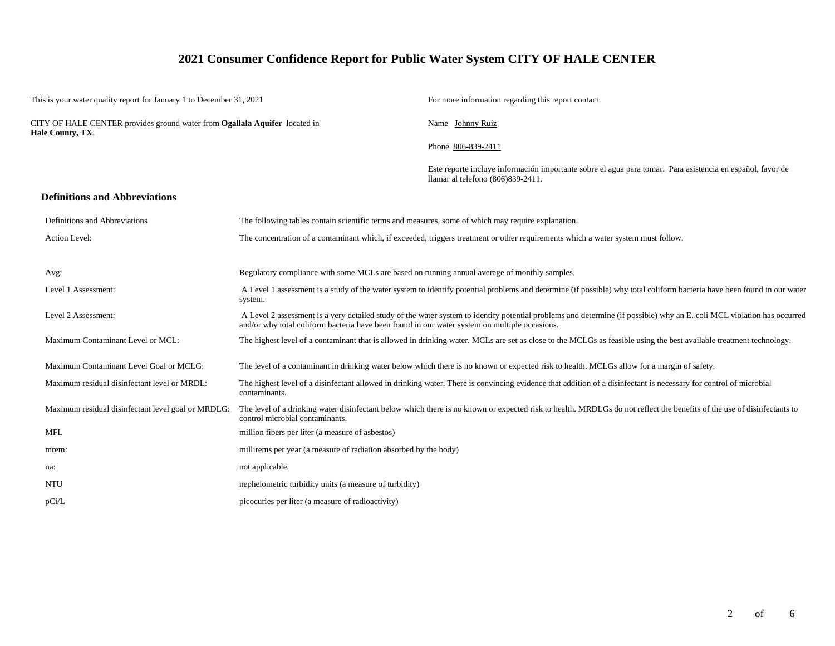# **2021 Consumer Confidence Report for Public Water System CITY OF HALE CENTER**

| This is your water quality report for January 1 to December 31, 2021 |                                                                            |                                                                                                    | For more information regarding this report contact:                                                                                                                     |  |  |  |  |
|----------------------------------------------------------------------|----------------------------------------------------------------------------|----------------------------------------------------------------------------------------------------|-------------------------------------------------------------------------------------------------------------------------------------------------------------------------|--|--|--|--|
| Hale County, TX.                                                     | CITY OF HALE CENTER provides ground water from Ogallala Aquifer located in |                                                                                                    | Name Johnny Ruiz                                                                                                                                                        |  |  |  |  |
|                                                                      |                                                                            |                                                                                                    | Phone 806-839-2411                                                                                                                                                      |  |  |  |  |
|                                                                      |                                                                            |                                                                                                    | Este reporte incluye información importante sobre el agua para tomar. Para asistencia en español, favor de<br>llamar al telefono (806)839-2411.                         |  |  |  |  |
|                                                                      | <b>Definitions and Abbreviations</b>                                       |                                                                                                    |                                                                                                                                                                         |  |  |  |  |
|                                                                      | Definitions and Abbreviations                                              | The following tables contain scientific terms and measures, some of which may require explanation. |                                                                                                                                                                         |  |  |  |  |
|                                                                      | Action Level:                                                              |                                                                                                    | The concentration of a contaminant which, if exceeded, triggers treatment or other requirements which a water system must follow.                                       |  |  |  |  |
| Avg:                                                                 |                                                                            | Regulatory compliance with some MCLs are based on running annual average of monthly samples.       |                                                                                                                                                                         |  |  |  |  |
|                                                                      | Level 1 Assessment:                                                        | system.                                                                                            | A Level 1 assessment is a study of the water system to identify potential problems and determine (if possible) why total coliform bacteria have been found in our water |  |  |  |  |
|                                                                      | Level 2 Assessment:                                                        | and/or why total coliform bacteria have been found in our water system on multiple occasions.      | A Level 2 assessment is a very detailed study of the water system to identify potential problems and determine (if possible) why an E. coli MCL violation has occurred  |  |  |  |  |
|                                                                      | Maximum Contaminant Level or MCL:                                          |                                                                                                    | The highest level of a contaminant that is allowed in drinking water. MCLs are set as close to the MCLGs as feasible using the best available treatment technology.     |  |  |  |  |
|                                                                      | Maximum Contaminant Level Goal or MCLG:                                    |                                                                                                    | The level of a contaminant in drinking water below which there is no known or expected risk to health. MCLGs allow for a margin of safety.                              |  |  |  |  |
|                                                                      | Maximum residual disinfectant level or MRDL:                               | contaminants.                                                                                      | The highest level of a disinfectant allowed in drinking water. There is convincing evidence that addition of a disinfectant is necessary for control of microbial       |  |  |  |  |
|                                                                      | Maximum residual disinfectant level goal or MRDLG:                         | control microbial contaminants.                                                                    | The level of a drinking water disinfectant below which there is no known or expected risk to health. MRDLGs do not reflect the benefits of the use of disinfectants to  |  |  |  |  |
| <b>MFL</b>                                                           |                                                                            | million fibers per liter (a measure of asbestos)                                                   |                                                                                                                                                                         |  |  |  |  |
| mrem:                                                                |                                                                            | millirems per year (a measure of radiation absorbed by the body)                                   |                                                                                                                                                                         |  |  |  |  |
| na:                                                                  |                                                                            | not applicable.                                                                                    |                                                                                                                                                                         |  |  |  |  |
| <b>NTU</b>                                                           |                                                                            | nephelometric turbidity units (a measure of turbidity)                                             |                                                                                                                                                                         |  |  |  |  |
| pCi/L                                                                |                                                                            | picocuries per liter (a measure of radioactivity)                                                  |                                                                                                                                                                         |  |  |  |  |
|                                                                      |                                                                            |                                                                                                    |                                                                                                                                                                         |  |  |  |  |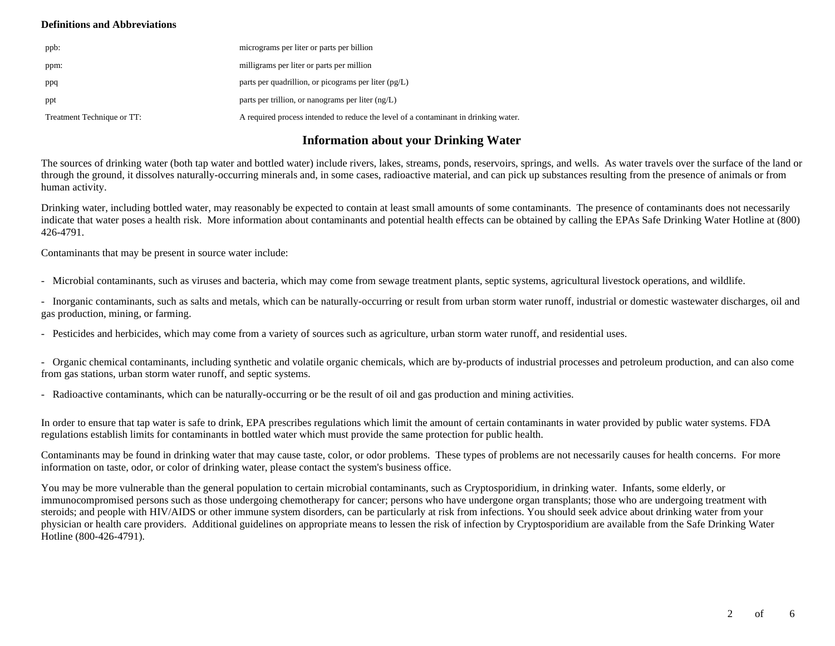### **Definitions and Abbreviations**

| ppb:                       | micrograms per liter or parts per billion                                           |
|----------------------------|-------------------------------------------------------------------------------------|
| ppm:                       | milligrams per liter or parts per million                                           |
| ppq                        | parts per quadrillion, or picograms per liter $(pg/L)$                              |
| ppt                        | parts per trillion, or nanograms per liter $(ng/L)$                                 |
| Treatment Technique or TT: | A required process intended to reduce the level of a contaminant in drinking water. |

## **Information about your Drinking Water**

The sources of drinking water (both tap water and bottled water) include rivers, lakes, streams, ponds, reservoirs, springs, and wells. As water travels over the surface of the land or through the ground, it dissolves naturally-occurring minerals and, in some cases, radioactive material, and can pick up substances resulting from the presence of animals or from human activity.

Drinking water, including bottled water, may reasonably be expected to contain at least small amounts of some contaminants. The presence of contaminants does not necessarily indicate that water poses a health risk. More information about contaminants and potential health effects can be obtained by calling the EPAs Safe Drinking Water Hotline at (800) 426-4791.

Contaminants that may be present in source water include:

- Microbial contaminants, such as viruses and bacteria, which may come from sewage treatment plants, septic systems, agricultural livestock operations, and wildlife.

- Inorganic contaminants, such as salts and metals, which can be naturally-occurring or result from urban storm water runoff, industrial or domestic wastewater discharges, oil and gas production, mining, or farming.

- Pesticides and herbicides, which may come from a variety of sources such as agriculture, urban storm water runoff, and residential uses.

- Organic chemical contaminants, including synthetic and volatile organic chemicals, which are by-products of industrial processes and petroleum production, and can also come from gas stations, urban storm water runoff, and septic systems.

- Radioactive contaminants, which can be naturally-occurring or be the result of oil and gas production and mining activities.

In order to ensure that tap water is safe to drink, EPA prescribes regulations which limit the amount of certain contaminants in water provided by public water systems. FDA regulations establish limits for contaminants in bottled water which must provide the same protection for public health.

Contaminants may be found in drinking water that may cause taste, color, or odor problems. These types of problems are not necessarily causes for health concerns. For more information on taste, odor, or color of drinking water, please contact the system's business office.

You may be more vulnerable than the general population to certain microbial contaminants, such as Cryptosporidium, in drinking water. Infants, some elderly, or immunocompromised persons such as those undergoing chemotherapy for cancer; persons who have undergone organ transplants; those who are undergoing treatment with steroids; and people with HIV/AIDS or other immune system disorders, can be particularly at risk from infections. You should seek advice about drinking water from your physician or health care providers. Additional guidelines on appropriate means to lessen the risk of infection by Cryptosporidium are available from the Safe Drinking Water Hotline (800-426-4791).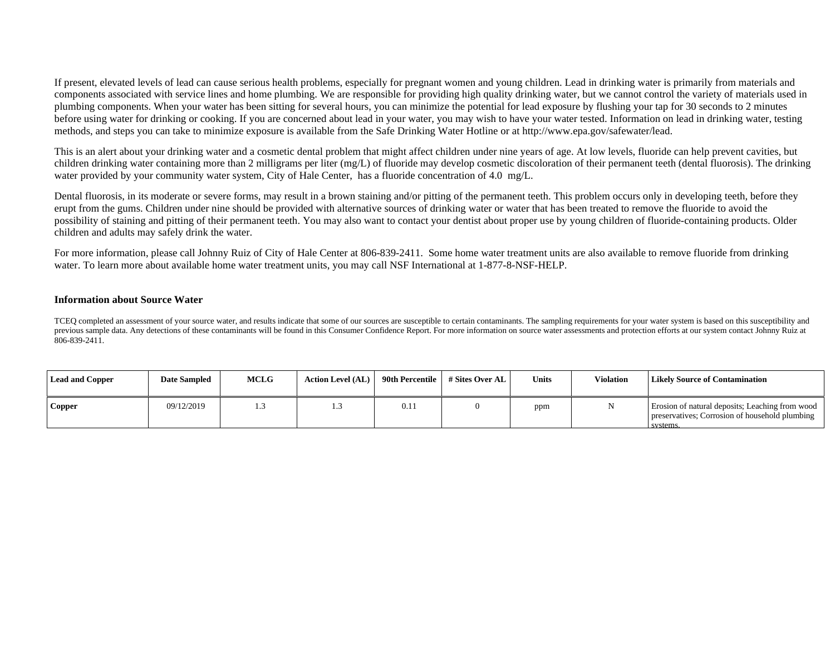If present, elevated levels of lead can cause serious health problems, especially for pregnant women and young children. Lead in drinking water is primarily from materials and components associated with service lines and home plumbing. We are responsible for providing high quality drinking water, but we cannot control the variety of materials used in plumbing components. When your water has been sitting for several hours, you can minimize the potential for lead exposure by flushing your tap for 30 seconds to 2 minutes before using water for drinking or cooking. If you are concerned about lead in your water, you may wish to have your water tested. Information on lead in drinking water, testing methods, and steps you can take to minimize exposure is available from the Safe Drinking Water Hotline or at http://www.epa.gov/safewater/lead.

This is an alert about your drinking water and a cosmetic dental problem that might affect children under nine years of age. At low levels, fluoride can help prevent cavities, but children drinking water containing more than 2 milligrams per liter (mg/L) of fluoride may develop cosmetic discoloration of their permanent teeth (dental fluorosis). The drinking water provided by your community water system, City of Hale Center, has a fluoride concentration of 4.0 mg/L.

Dental fluorosis, in its moderate or severe forms, may result in a brown staining and/or pitting of the permanent teeth. This problem occurs only in developing teeth, before they erupt from the gums. Children under nine should be provided with alternative sources of drinking water or water that has been treated to remove the fluoride to avoid the possibility of staining and pitting of their permanent teeth. You may also want to contact your dentist about proper use by young children of fluoride-containing products. Older children and adults may safely drink the water.

For more information, please call Johnny Ruiz of City of Hale Center at 806-839-2411. Some home water treatment units are also available to remove fluoride from drinking water. To learn more about available home water treatment units, you may call NSF International at 1-877-8-NSF-HELP.

#### **Information about Source Water**

TCEQ completed an assessment of your source water, and results indicate that some of our sources are susceptible to certain contaminants. The sampling requirements for your water system is based on this susceptibility and previous sample data. Any detections of these contaminants will be found in this Consumer Confidence Report. For more information on source water assessments and protection efforts at our system contact Johnny Ruiz at 806-839-2411.

| <b>Lead and Copper</b> | <b>Date Sampled</b> | <b>MCLG</b> | <b>Action Level (AL)</b> | 90th Percentile | # Sites Over AL | <b>Units</b> | <b>Violation</b> | <b>Likely Source of Contamination</b>                                                                        |
|------------------------|---------------------|-------------|--------------------------|-----------------|-----------------|--------------|------------------|--------------------------------------------------------------------------------------------------------------|
| Copper                 | 09/12/2019          |             | ر                        | 0.11            |                 | ppm          |                  | Erosion of natural deposits; Leaching from wood<br>preservatives; Corrosion of household plumbing<br>systems |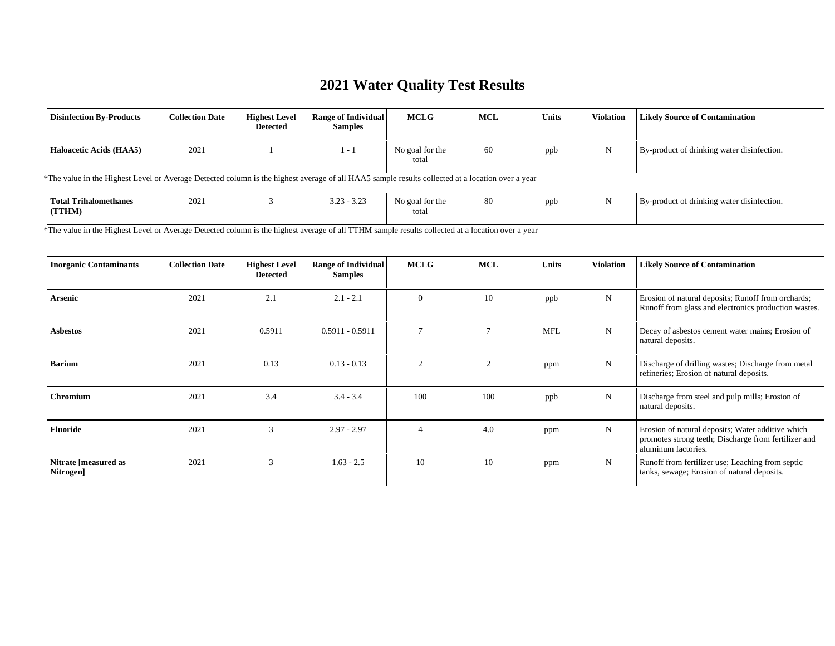# **2021 Water Quality Test Results**

| <b>Disinfection By-Products</b> | <b>Collection Date</b> | <b>Highest Level</b><br><b>Detected</b> | <b>Range of Individual</b><br><b>Samples</b> | <b>MCLG</b>              | <b>MCL</b> | <b>Units</b> | <b>Violation</b> | <b>Likely Source of Contamination</b>      |
|---------------------------------|------------------------|-----------------------------------------|----------------------------------------------|--------------------------|------------|--------------|------------------|--------------------------------------------|
| Haloacetic Acids (HAA5)         | 202                    |                                         | $-1$                                         | No goal for the<br>total | 60         | ppb          |                  | By-product of drinking water disinfection. |

\*The value in the Highest Level or Average Detected column is the highest average of all HAA5 sample results collected at a location over a year

\*The value in the Highest Level or Average Detected column is the highest average of all TTHM sample results collected at a location over a year

| <b>Inorganic Contaminants</b>     | <b>Collection Date</b> | <b>Highest Level</b><br><b>Detected</b> | <b>Range of Individual</b><br><b>Samples</b> | <b>MCLG</b>    | <b>MCL</b> | <b>Units</b> | <b>Violation</b> | <b>Likely Source of Contamination</b>                                                                                            |
|-----------------------------------|------------------------|-----------------------------------------|----------------------------------------------|----------------|------------|--------------|------------------|----------------------------------------------------------------------------------------------------------------------------------|
| Arsenic                           | 2021                   | 2.1                                     | $2.1 - 2.1$                                  | $\Omega$       | 10         | ppb          | N                | Erosion of natural deposits; Runoff from orchards;<br>Runoff from glass and electronics production wastes.                       |
| Asbestos                          | 2021                   | 0.5911                                  | $0.5911 - 0.5911$                            | $\mathcal{I}$  |            | <b>MFL</b>   | N                | Decay of asbestos cement water mains; Erosion of<br>natural deposits.                                                            |
| <b>Barium</b>                     | 2021                   | 0.13                                    | $0.13 - 0.13$                                | $\overline{c}$ |            | ppm          | N                | Discharge of drilling wastes; Discharge from metal<br>refineries; Erosion of natural deposits.                                   |
| <b>Chromium</b>                   | 2021                   | 3.4                                     | $3.4 - 3.4$                                  | 100            | 100        | ppb          | N                | Discharge from steel and pulp mills; Erosion of<br>natural deposits.                                                             |
| <b>Fluoride</b>                   | 2021                   | 3                                       | $2.97 - 2.97$                                | $\overline{4}$ | 4.0        | ppm          | N                | Erosion of natural deposits; Water additive which<br>promotes strong teeth; Discharge from fertilizer and<br>aluminum factories. |
| Nitrate [measured as<br>Nitrogen] | 2021                   | $\mathcal{R}$                           | $1.63 - 2.5$                                 | 10             | 10         | ppm          | N                | Runoff from fertilizer use; Leaching from septic<br>tanks, sewage; Erosion of natural deposits.                                  |